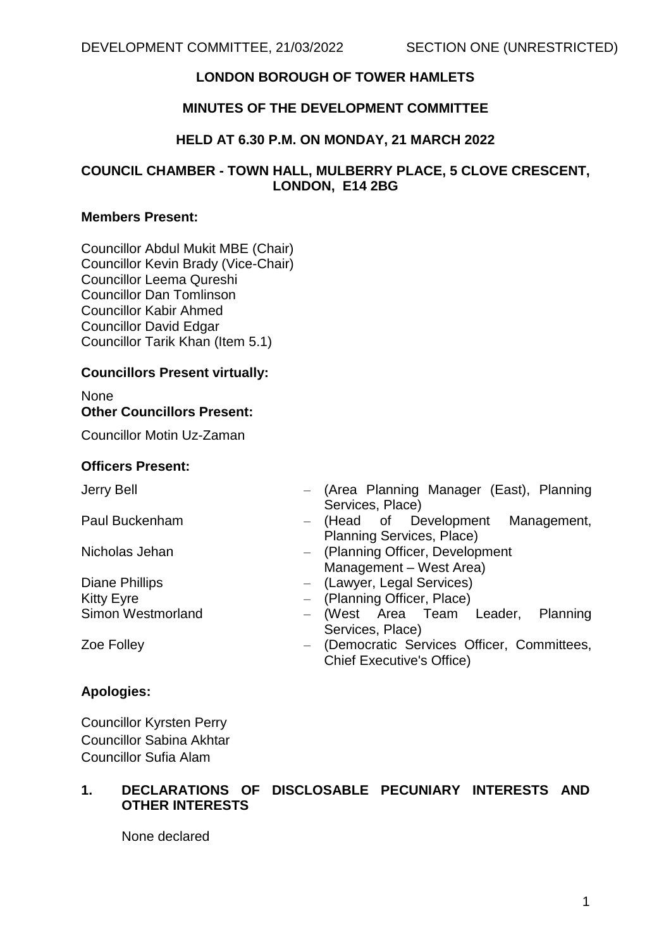# **LONDON BOROUGH OF TOWER HAMLETS**

## **MINUTES OF THE DEVELOPMENT COMMITTEE**

#### **HELD AT 6.30 P.M. ON MONDAY, 21 MARCH 2022**

## **COUNCIL CHAMBER - TOWN HALL, MULBERRY PLACE, 5 CLOVE CRESCENT, LONDON, E14 2BG**

#### **Members Present:**

Councillor Abdul Mukit MBE (Chair) Councillor Kevin Brady (Vice-Chair) Councillor Leema Qureshi Councillor Dan Tomlinson Councillor Kabir Ahmed Councillor David Edgar Councillor Tarik Khan (Item 5.1)

#### **Councillors Present virtually:**

# None **Other Councillors Present:**

Councillor Motin Uz-Zaman

#### **Officers Present:**

- 
- 
- Jerry Bell (Area Planning Manager (East), Planning Services, Place)
- Paul Buckenham (Head of Development Management, Planning Services, Place)
- Nicholas Jehan (Planning Officer, Development Management – West Area)
- Diane Phillips (Lawyer, Legal Services)
- Kitty Eyre **Example 20** Figure (Planning Officer, Place)
- Simon Westmorland  $-$  (West Area Team Leader, Planning Services, Place)
- 
- Zoe Folley (Democratic Services Officer, Committees, Chief Executive's Office)

## **Apologies:**

Councillor Kyrsten Perry Councillor Sabina Akhtar Councillor Sufia Alam

# **1. DECLARATIONS OF DISCLOSABLE PECUNIARY INTERESTS AND OTHER INTERESTS**

None declared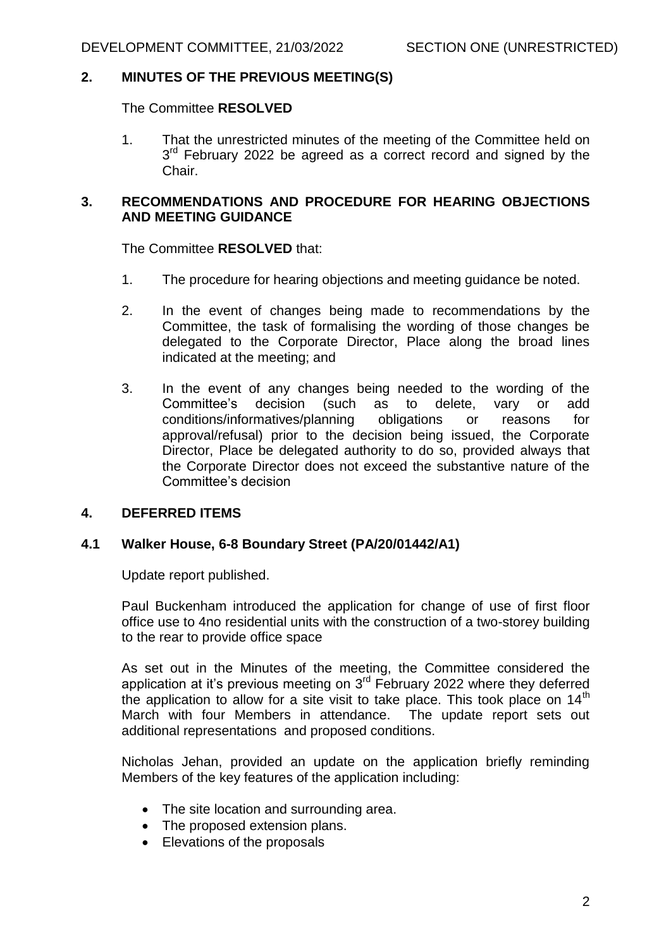## **2. MINUTES OF THE PREVIOUS MEETING(S)**

The Committee **RESOLVED**

1. That the unrestricted minutes of the meeting of the Committee held on 3<sup>rd</sup> February 2022 be agreed as a correct record and signed by the Chair.

## **3. RECOMMENDATIONS AND PROCEDURE FOR HEARING OBJECTIONS AND MEETING GUIDANCE**

The Committee **RESOLVED** that:

- 1. The procedure for hearing objections and meeting guidance be noted.
- 2. In the event of changes being made to recommendations by the Committee, the task of formalising the wording of those changes be delegated to the Corporate Director, Place along the broad lines indicated at the meeting; and
- 3. In the event of any changes being needed to the wording of the Committee's decision (such as to delete, vary or add conditions/informatives/planning obligations or reasons for approval/refusal) prior to the decision being issued, the Corporate Director, Place be delegated authority to do so, provided always that the Corporate Director does not exceed the substantive nature of the Committee's decision

## **4. DEFERRED ITEMS**

## **4.1 Walker House, 6-8 Boundary Street (PA/20/01442/A1)**

Update report published.

Paul Buckenham introduced the application for change of use of first floor office use to 4no residential units with the construction of a two-storey building to the rear to provide office space

As set out in the Minutes of the meeting, the Committee considered the application at it's previous meeting on 3<sup>rd</sup> February 2022 where they deferred the application to allow for a site visit to take place. This took place on  $14<sup>th</sup>$ March with four Members in attendance. The update report sets out additional representations and proposed conditions.

Nicholas Jehan, provided an update on the application briefly reminding Members of the key features of the application including:

- The site location and surrounding area.
- The proposed extension plans.
- Elevations of the proposals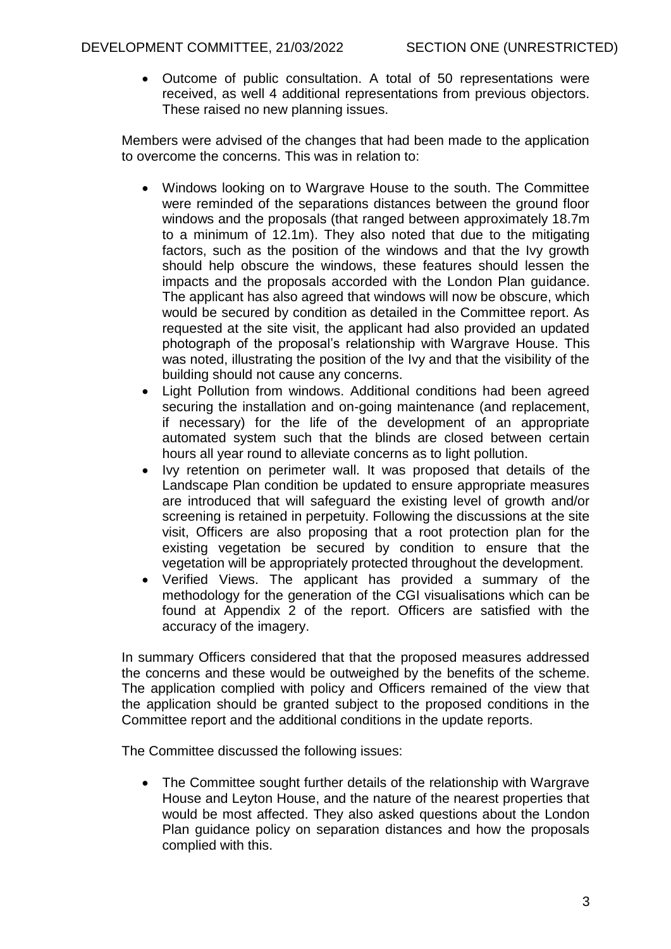Outcome of public consultation. A total of 50 representations were received, as well 4 additional representations from previous objectors. These raised no new planning issues.

Members were advised of the changes that had been made to the application to overcome the concerns. This was in relation to:

- Windows looking on to Wargrave House to the south. The Committee were reminded of the separations distances between the ground floor windows and the proposals (that ranged between approximately 18.7m to a minimum of 12.1m). They also noted that due to the mitigating factors, such as the position of the windows and that the Ivy growth should help obscure the windows, these features should lessen the impacts and the proposals accorded with the London Plan guidance. The applicant has also agreed that windows will now be obscure, which would be secured by condition as detailed in the Committee report. As requested at the site visit, the applicant had also provided an updated photograph of the proposal's relationship with Wargrave House. This was noted, illustrating the position of the Ivy and that the visibility of the building should not cause any concerns.
- Light Pollution from windows. Additional conditions had been agreed securing the installation and on-going maintenance (and replacement, if necessary) for the life of the development of an appropriate automated system such that the blinds are closed between certain hours all year round to alleviate concerns as to light pollution.
- Ivy retention on perimeter wall. It was proposed that details of the Landscape Plan condition be updated to ensure appropriate measures are introduced that will safeguard the existing level of growth and/or screening is retained in perpetuity. Following the discussions at the site visit, Officers are also proposing that a root protection plan for the existing vegetation be secured by condition to ensure that the vegetation will be appropriately protected throughout the development.
- Verified Views. The applicant has provided a summary of the methodology for the generation of the CGI visualisations which can be found at Appendix 2 of the report. Officers are satisfied with the accuracy of the imagery.

In summary Officers considered that that the proposed measures addressed the concerns and these would be outweighed by the benefits of the scheme. The application complied with policy and Officers remained of the view that the application should be granted subject to the proposed conditions in the Committee report and the additional conditions in the update reports.

The Committee discussed the following issues:

 The Committee sought further details of the relationship with Wargrave House and Leyton House, and the nature of the nearest properties that would be most affected. They also asked questions about the London Plan guidance policy on separation distances and how the proposals complied with this.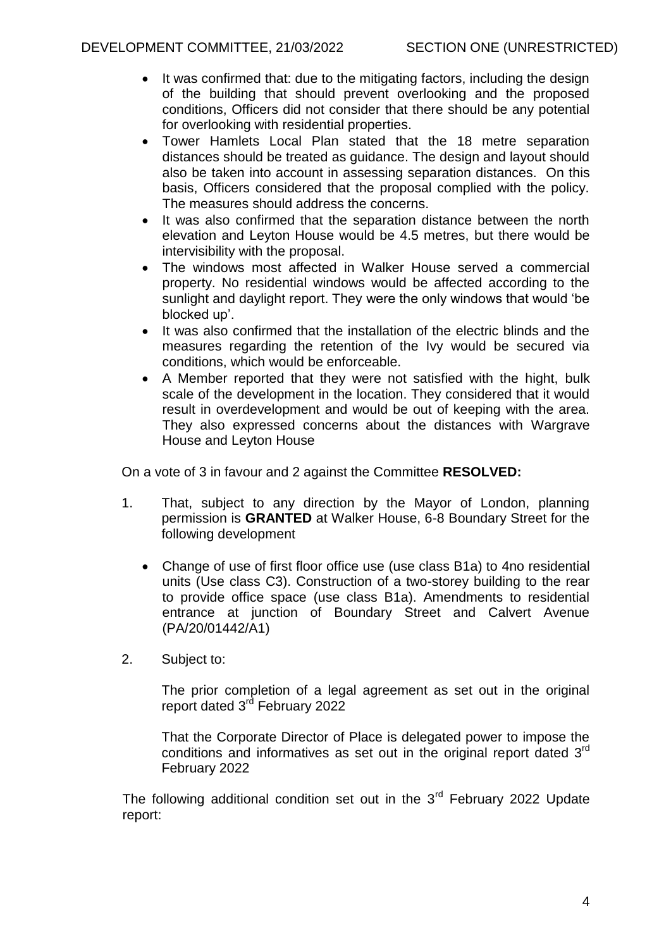- It was confirmed that: due to the mitigating factors, including the design of the building that should prevent overlooking and the proposed conditions, Officers did not consider that there should be any potential for overlooking with residential properties.
- Tower Hamlets Local Plan stated that the 18 metre separation distances should be treated as guidance. The design and layout should also be taken into account in assessing separation distances. On this basis, Officers considered that the proposal complied with the policy. The measures should address the concerns.
- It was also confirmed that the separation distance between the north elevation and Leyton House would be 4.5 metres, but there would be intervisibility with the proposal.
- The windows most affected in Walker House served a commercial property. No residential windows would be affected according to the sunlight and daylight report. They were the only windows that would 'be blocked up'.
- It was also confirmed that the installation of the electric blinds and the measures regarding the retention of the Ivy would be secured via conditions, which would be enforceable.
- A Member reported that they were not satisfied with the hight, bulk scale of the development in the location. They considered that it would result in overdevelopment and would be out of keeping with the area. They also expressed concerns about the distances with Wargrave House and Leyton House

On a vote of 3 in favour and 2 against the Committee **RESOLVED:**

- 1. That, subject to any direction by the Mayor of London, planning permission is **GRANTED** at Walker House, 6-8 Boundary Street for the following development
	- Change of use of first floor office use (use class B1a) to 4no residential units (Use class C3). Construction of a two-storey building to the rear to provide office space (use class B1a). Amendments to residential entrance at junction of Boundary Street and Calvert Avenue (PA/20/01442/A1)
- 2. Subject to:

The prior completion of a legal agreement as set out in the original report dated 3<sup>rd</sup> February 2022

That the Corporate Director of Place is delegated power to impose the conditions and informatives as set out in the original report dated 3<sup>rd</sup> February 2022

The following additional condition set out in the  $3<sup>rd</sup>$  February 2022 Update report: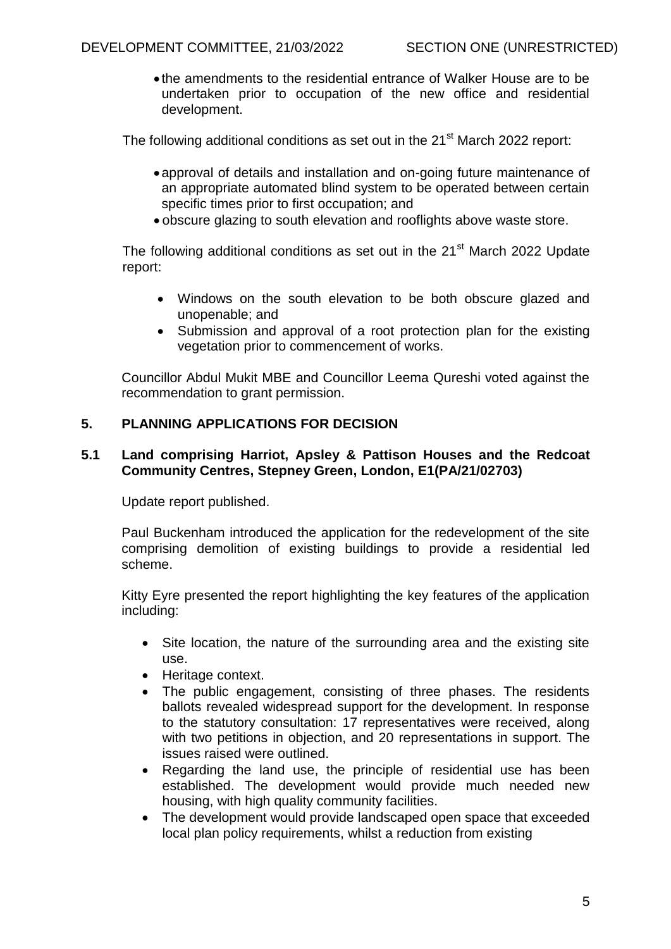the amendments to the residential entrance of Walker House are to be undertaken prior to occupation of the new office and residential development.

The following additional conditions as set out in the  $21<sup>st</sup>$  March 2022 report:

- approval of details and installation and on-going future maintenance of an appropriate automated blind system to be operated between certain specific times prior to first occupation; and
- obscure glazing to south elevation and rooflights above waste store.

The following additional conditions as set out in the  $21<sup>st</sup>$  March 2022 Update report:

- Windows on the south elevation to be both obscure glazed and unopenable; and
- Submission and approval of a root protection plan for the existing vegetation prior to commencement of works.

Councillor Abdul Mukit MBE and Councillor Leema Qureshi voted against the recommendation to grant permission.

# **5. PLANNING APPLICATIONS FOR DECISION**

## **5.1 Land comprising Harriot, Apsley & Pattison Houses and the Redcoat Community Centres, Stepney Green, London, E1(PA/21/02703)**

Update report published.

Paul Buckenham introduced the application for the redevelopment of the site comprising demolition of existing buildings to provide a residential led scheme.

Kitty Eyre presented the report highlighting the key features of the application including:

- Site location, the nature of the surrounding area and the existing site use.
- Heritage context.
- The public engagement, consisting of three phases. The residents ballots revealed widespread support for the development. In response to the statutory consultation: 17 representatives were received, along with two petitions in objection, and 20 representations in support. The issues raised were outlined.
- Regarding the land use, the principle of residential use has been established. The development would provide much needed new housing, with high quality community facilities.
- The development would provide landscaped open space that exceeded local plan policy requirements, whilst a reduction from existing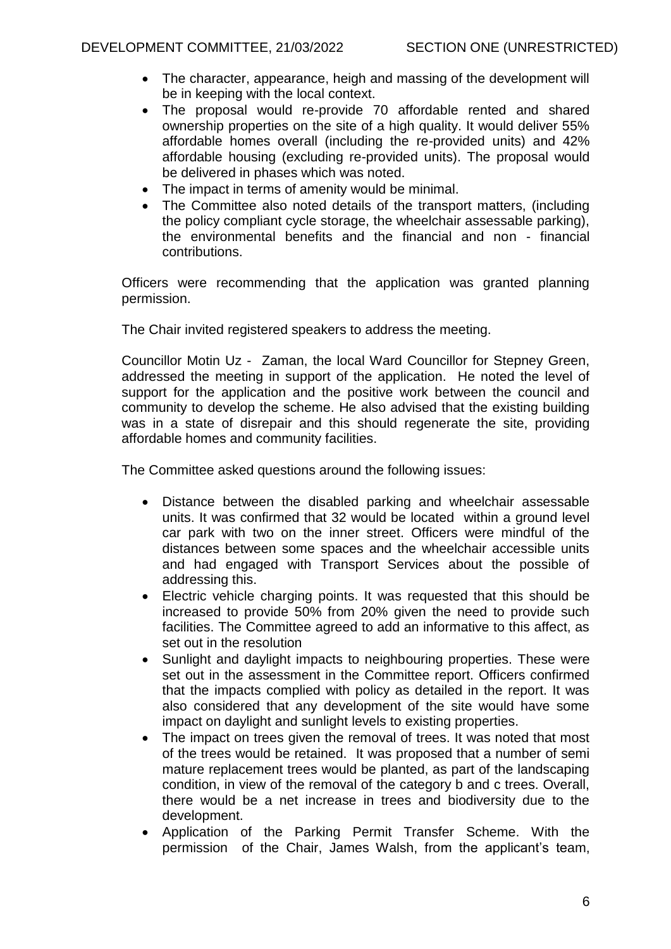- The character, appearance, heigh and massing of the development will be in keeping with the local context.
- The proposal would re-provide 70 affordable rented and shared ownership properties on the site of a high quality. It would deliver 55% affordable homes overall (including the re-provided units) and 42% affordable housing (excluding re-provided units). The proposal would be delivered in phases which was noted.
- The impact in terms of amenity would be minimal.
- The Committee also noted details of the transport matters, (including the policy compliant cycle storage, the wheelchair assessable parking), the environmental benefits and the financial and non - financial contributions.

Officers were recommending that the application was granted planning permission.

The Chair invited registered speakers to address the meeting.

Councillor Motin Uz - Zaman, the local Ward Councillor for Stepney Green, addressed the meeting in support of the application. He noted the level of support for the application and the positive work between the council and community to develop the scheme. He also advised that the existing building was in a state of disrepair and this should regenerate the site, providing affordable homes and community facilities.

The Committee asked questions around the following issues:

- Distance between the disabled parking and wheelchair assessable units. It was confirmed that 32 would be located within a ground level car park with two on the inner street. Officers were mindful of the distances between some spaces and the wheelchair accessible units and had engaged with Transport Services about the possible of addressing this.
- Electric vehicle charging points. It was requested that this should be increased to provide 50% from 20% given the need to provide such facilities. The Committee agreed to add an informative to this affect, as set out in the resolution
- Sunlight and daylight impacts to neighbouring properties. These were set out in the assessment in the Committee report. Officers confirmed that the impacts complied with policy as detailed in the report. It was also considered that any development of the site would have some impact on daylight and sunlight levels to existing properties.
- The impact on trees given the removal of trees. It was noted that most of the trees would be retained. It was proposed that a number of semi mature replacement trees would be planted, as part of the landscaping condition, in view of the removal of the category b and c trees. Overall, there would be a net increase in trees and biodiversity due to the development.
- Application of the Parking Permit Transfer Scheme. With the permission of the Chair, James Walsh, from the applicant's team,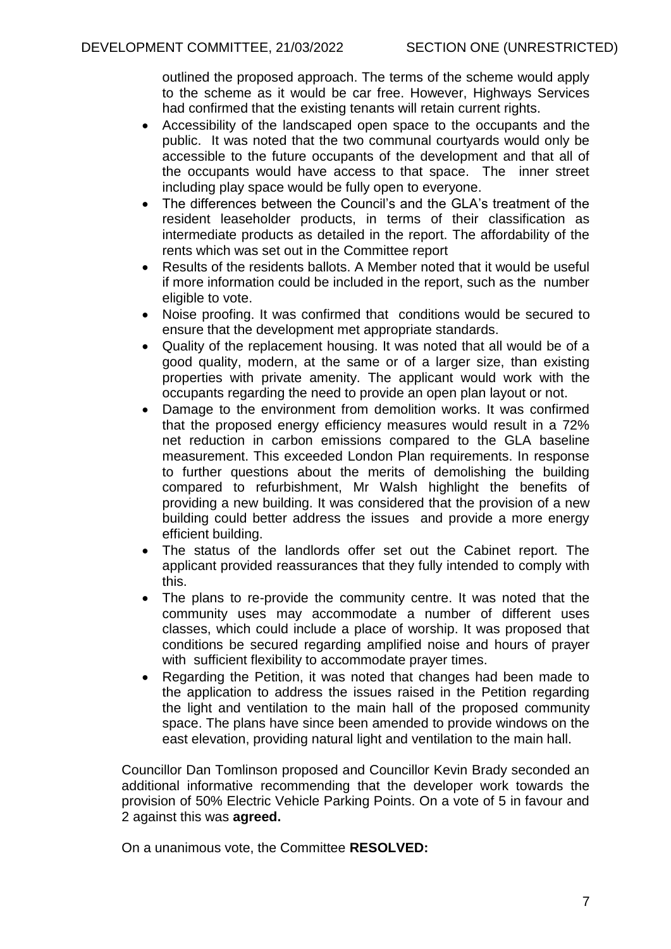outlined the proposed approach. The terms of the scheme would apply to the scheme as it would be car free. However, Highways Services had confirmed that the existing tenants will retain current rights.

- Accessibility of the landscaped open space to the occupants and the public. It was noted that the two communal courtyards would only be accessible to the future occupants of the development and that all of the occupants would have access to that space. The inner street including play space would be fully open to everyone.
- The differences between the Council's and the GLA's treatment of the resident leaseholder products, in terms of their classification as intermediate products as detailed in the report. The affordability of the rents which was set out in the Committee report
- Results of the residents ballots. A Member noted that it would be useful if more information could be included in the report, such as the number eligible to vote.
- Noise proofing. It was confirmed that conditions would be secured to ensure that the development met appropriate standards.
- Quality of the replacement housing. It was noted that all would be of a good quality, modern, at the same or of a larger size, than existing properties with private amenity. The applicant would work with the occupants regarding the need to provide an open plan layout or not.
- Damage to the environment from demolition works. It was confirmed that the proposed energy efficiency measures would result in a 72% net reduction in carbon emissions compared to the GLA baseline measurement. This exceeded London Plan requirements. In response to further questions about the merits of demolishing the building compared to refurbishment, Mr Walsh highlight the benefits of providing a new building. It was considered that the provision of a new building could better address the issues and provide a more energy efficient building.
- The status of the landlords offer set out the Cabinet report. The applicant provided reassurances that they fully intended to comply with this.
- The plans to re-provide the community centre. It was noted that the community uses may accommodate a number of different uses classes, which could include a place of worship. It was proposed that conditions be secured regarding amplified noise and hours of prayer with sufficient flexibility to accommodate prayer times.
- Regarding the Petition, it was noted that changes had been made to the application to address the issues raised in the Petition regarding the light and ventilation to the main hall of the proposed community space. The plans have since been amended to provide windows on the east elevation, providing natural light and ventilation to the main hall.

Councillor Dan Tomlinson proposed and Councillor Kevin Brady seconded an additional informative recommending that the developer work towards the provision of 50% Electric Vehicle Parking Points. On a vote of 5 in favour and 2 against this was **agreed.**

On a unanimous vote, the Committee **RESOLVED:**